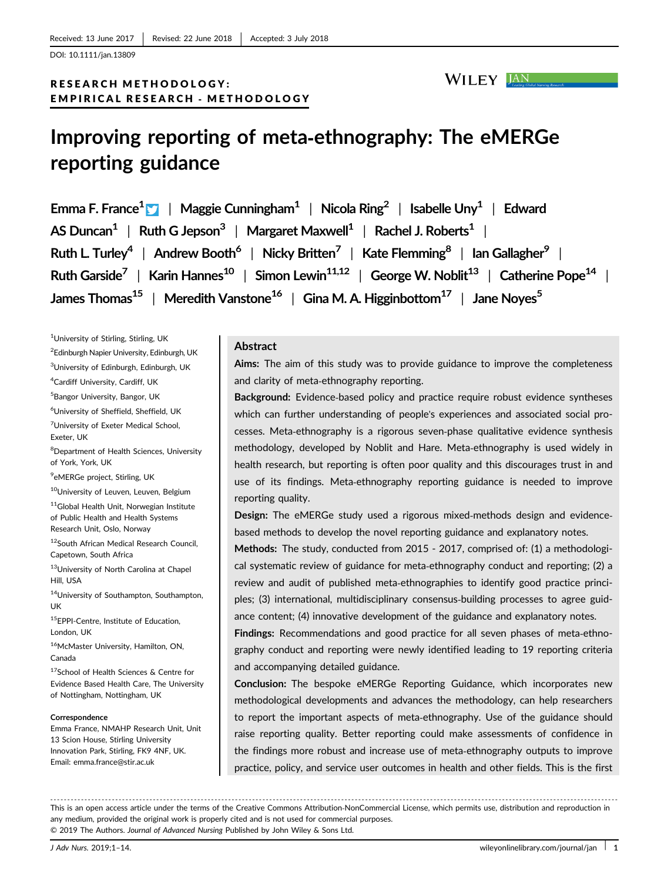DOI: 10.1111/jan.13809

# RESEARCH METHODOLOGY: EMPIRICAL RESEARCH **‐** METHODOLOGY

WILEY JAN

# **Improving reporting of meta‐ethnography: The eMERGe reporting guidance**

**Emma F. France[1](https://twitter.com/Emma___France)** | **Maggie Cunningham1** | **Nicola Ring2** | **Isabelle Uny1** | **Edward AS Duncan**<sup>1</sup> | **Ruth G Jepson**<sup>3</sup> | **Margaret Maxwell**<sup>1</sup> | **Rachel J. Roberts**<sup>1</sup> | **Ruth L. Turley<sup>4</sup> | Andrew Booth<sup>6</sup> | Nicky Britten<sup>7</sup> | Kate Flemming<sup>8</sup> | Ian Gallagher<sup>9</sup> | Ruth Garside<sup>7</sup> | Karin Hannes<sup>10</sup> | Simon Lewin<sup>11,12</sup> | George W. Noblit<sup>13</sup> | Catherine Pope<sup>14</sup> | James Thomas**<sup>15</sup> | Meredith Vanstone<sup>16</sup> | Gina M. A. Higginbottom<sup>17</sup> | Jane Noyes<sup>5</sup>

1 University of Stirling, Stirling, UK

<sup>2</sup>Edinburgh Napier University, Edinburgh, UK 3 University of Edinburgh, Edinburgh, UK 4 Cardiff University, Cardiff, UK

<sup>5</sup>Bangor University, Bangor, UK

6 University of Sheffield, Sheffield, UK <sup>7</sup>University of Exeter Medical School, Exeter, UK

8 Department of Health Sciences, University of York, York, UK

<sup>9</sup>eMERGe project, Stirling, UK

10University of Leuven, Leuven, Belgium

<sup>11</sup>Global Health Unit, Norwegian Institute of Public Health and Health Systems Research Unit, Oslo, Norway

12South African Medical Research Council, Capetown, South Africa

13University of North Carolina at Chapel Hill, USA

<sup>14</sup>University of Southampton, Southampton, UK

15EPPI-Centre, Institute of Education, London, UK

16McMaster University, Hamilton, ON, Canada

17School of Health Sciences & Centre for Evidence Based Health Care, The University of Nottingham, Nottingham, UK

#### **Correspondence**

Emma France, NMAHP Research Unit, Unit 13 Scion House, Stirling University Innovation Park, Stirling, FK9 4NF, UK. Email: emma.france@stir.ac.uk

#### **Abstract**

**Aims:** The aim of this study was to provide guidance to improve the completeness and clarity of meta‐ethnography reporting.

**Background:** Evidence‐based policy and practice require robust evidence syntheses which can further understanding of people's experiences and associated social processes. Meta‐ethnography is a rigorous seven‐phase qualitative evidence synthesis methodology, developed by Noblit and Hare. Meta‐ethnography is used widely in health research, but reporting is often poor quality and this discourages trust in and use of its findings. Meta‐ethnography reporting guidance is needed to improve reporting quality.

**Design:** The eMERGe study used a rigorous mixed-methods design and evidencebased methods to develop the novel reporting guidance and explanatory notes.

**Methods:** The study, conducted from 2015 - 2017, comprised of: (1) a methodological systematic review of guidance for meta‐ethnography conduct and reporting; (2) a review and audit of published meta‐ethnographies to identify good practice principles; (3) international, multidisciplinary consensus‐building processes to agree guidance content; (4) innovative development of the guidance and explanatory notes.

Findings: Recommendations and good practice for all seven phases of meta-ethnography conduct and reporting were newly identified leading to 19 reporting criteria and accompanying detailed guidance.

**Conclusion:** The bespoke eMERGe Reporting Guidance, which incorporates new methodological developments and advances the methodology, can help researchers to report the important aspects of meta‐ethnography. Use of the guidance should raise reporting quality. Better reporting could make assessments of confidence in the findings more robust and increase use of meta‐ethnography outputs to improve practice, policy, and service user outcomes in health and other fields. This is the first

------------------------------------------------------------------------------------------------------------------------------- --------------------------------------- This is an open access article under the terms of the [Creative Commons Attribution](http://creativecommons.org/licenses/by-nc/4.0/)‐NonCommercial License, which permits use, distribution and reproduction in any medium, provided the original work is properly cited and is not used for commercial purposes. © 2019 The Authors. *Journal of Advanced Nursing* Published by John Wiley & Sons Ltd.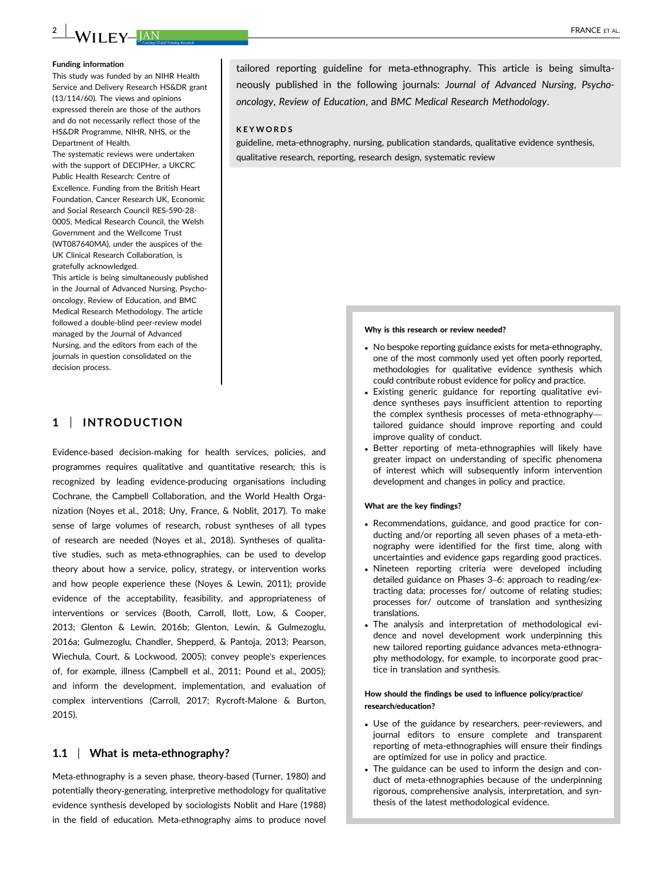# **2** WII FV-JAN FRANCE ET AL.

#### **Funding information**

This study was funded by an NIHR Health Service and Delivery Research HS&DR grant (13/114/60). The views and opinions expressed therein are those of the authors and do not necessarily reflect those of the HS&DR Programme, NIHR, NHS, or the Department of Health.

The systematic reviews were undertaken with the support of DECIPHer, a UKCRC Public Health Research: Centre of Excellence. Funding from the British Heart Foundation, Cancer Research UK, Economic and Social Research Council RES-590-28- 0005, Medical Research Council, the Welsh Government and the Wellcome Trust (WT087640MA), under the auspices of the UK Clinical Research Collaboration, is gratefully acknowledged.

This article is being simultaneously published in the Journal of Advanced Nursing, Psychooncology, Review of Education, and BMC Medical Research Methodology. The article followed a double-blind peer-review model managed by the Journal of Advanced Nursing, and the editors from each of the journals in question consolidated on the decision process.

## **1** | **INTRODUCTION**

Evidence‐based decision‐making for health services, policies, and programmes requires qualitative and quantitative research; this is recognized by leading evidence‐producing organisations including Cochrane, the Campbell Collaboration, and the World Health Organization (Noyes et al., 2018; Uny, France, & Noblit, 2017). To make sense of large volumes of research, robust syntheses of all types of research are needed (Noyes et al., 2018). Syntheses of qualitative studies, such as meta‐ethnographies, can be used to develop theory about how a service, policy, strategy, or intervention works and how people experience these (Noyes & Lewin, 2011); provide evidence of the acceptability, feasibility, and appropriateness of interventions or services (Booth, Carroll, Ilott, Low, & Cooper, 2013; Glenton & Lewin, 2016b; Glenton, Lewin, & Gulmezoglu, 2016a; Gulmezoglu, Chandler, Shepperd, & Pantoja, 2013; Pearson, Wiechula, Court, & Lockwood, 2005); convey people's experiences of, for example, illness (Campbell et al., 2011; Pound et al., 2005); and inform the development, implementation, and evaluation of complex interventions (Carroll, 2017; Rycroft‐Malone & Burton, 2015).

## **1.1** | **What is meta‐ethnography?**

Meta‐ethnography is a seven phase, theory‐based (Turner, 1980) and potentially theory‐generating, interpretive methodology for qualitative evidence synthesis developed by sociologists Noblit and Hare (1988) in the field of education. Meta‐ethnography aims to produce novel

tailored reporting guideline for meta‐ethnography. This article is being simultaneously published in the following journals: *Journal of Advanced Nursing*, *Psychooncology*, *Review of Education*, and *BMC Medical Research Methodology*.

#### **KEYWORDS**

guideline, meta-ethnography, nursing, publication standards, qualitative evidence synthesis, qualitative research, reporting, research design, systematic review

#### Why is this research or review needed?

- No bespoke reporting guidance exists for meta-ethnography, one of the most commonly used yet often poorly reported, methodologies for qualitative evidence synthesis which could contribute robust evidence for policy and practice.
- Existing generic guidance for reporting qualitative evidence syntheses pays insufficient attention to reporting the complex synthesis processes of meta-ethnography tailored guidance should improve reporting and could improve quality of conduct.
- Better reporting of meta-ethnographies will likely have greater impact on understanding of specific phenomena of interest which will subsequently inform intervention development and changes in policy and practice.

#### What are the key findings?

- Recommendations, guidance, and good practice for conducting and/or reporting all seven phases of a meta-ethnography were identified for the first time, along with uncertainties and evidence gaps regarding good practices.
- Nineteen reporting criteria were developed including detailed guidance on Phases 3–6: approach to reading/extracting data; processes for/ outcome of relating studies; processes for/ outcome of translation and synthesizing translations.
- The analysis and interpretation of methodological evidence and novel development work underpinning this new tailored reporting guidance advances meta-ethnography methodology, for example, to incorporate good practice in translation and synthesis.

#### How should the findings be used to influence policy**/**practice**/** research**/**education?

- Use of the guidance by researchers, peer-reviewers, and journal editors to ensure complete and transparent reporting of meta-ethnographies will ensure their findings are optimized for use in policy and practice.
- The guidance can be used to inform the design and conduct of meta-ethnographies because of the underpinning rigorous, comprehensive analysis, interpretation, and synthesis of the latest methodological evidence.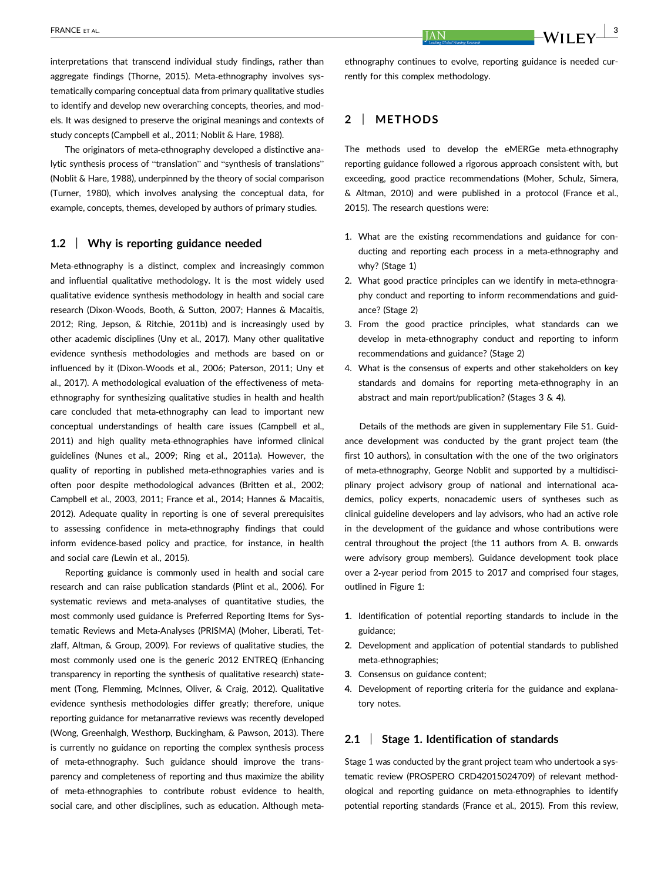interpretations that transcend individual study findings, rather than aggregate findings (Thorne, 2015). Meta‐ethnography involves systematically comparing conceptual data from primary qualitative studies to identify and develop new overarching concepts, theories, and models. It was designed to preserve the original meanings and contexts of study concepts (Campbell et al., 2011; Noblit & Hare, 1988).

The originators of meta‐ethnography developed a distinctive analytic synthesis process of "translation" and "synthesis of translations" (Noblit & Hare, 1988), underpinned by the theory of social comparison (Turner, 1980), which involves analysing the conceptual data, for example, concepts, themes, developed by authors of primary studies.

#### **1.2** | **Why is reporting guidance needed**

Meta-ethnography is a distinct, complex and increasingly common and influential qualitative methodology. It is the most widely used qualitative evidence synthesis methodology in health and social care research (Dixon‐Woods, Booth, & Sutton, 2007; Hannes & Macaitis, 2012; Ring, Jepson, & Ritchie, 2011b) and is increasingly used by other academic disciplines (Uny et al., 2017). Many other qualitative evidence synthesis methodologies and methods are based on or influenced by it (Dixon‐Woods et al., 2006; Paterson, 2011; Uny et al., 2017). A methodological evaluation of the effectiveness of metaethnography for synthesizing qualitative studies in health and health care concluded that meta‐ethnography can lead to important new conceptual understandings of health care issues (Campbell et al., 2011) and high quality meta‐ethnographies have informed clinical guidelines (Nunes et al., 2009; Ring et al., 2011a). However, the quality of reporting in published meta‐ethnographies varies and is often poor despite methodological advances (Britten et al., 2002; Campbell et al., 2003, 2011; France et al., 2014; Hannes & Macaitis, 2012). Adequate quality in reporting is one of several prerequisites to assessing confidence in meta‐ethnography findings that could inform evidence‐based policy and practice, for instance, in health and social care *(*Lewin et al., 2015).

Reporting guidance is commonly used in health and social care research and can raise publication standards (Plint et al., 2006). For systematic reviews and meta‐analyses of quantitative studies, the most commonly used guidance is Preferred Reporting Items for Systematic Reviews and Meta‐Analyses (PRISMA) (Moher, Liberati, Tetzlaff, Altman, & Group, 2009). For reviews of qualitative studies, the most commonly used one is the generic 2012 ENTREQ (Enhancing transparency in reporting the synthesis of qualitative research) statement (Tong, Flemming, McInnes, Oliver, & Craig, 2012). Qualitative evidence synthesis methodologies differ greatly; therefore, unique reporting guidance for metanarrative reviews was recently developed (Wong, Greenhalgh, Westhorp, Buckingham, & Pawson, 2013). There is currently no guidance on reporting the complex synthesis process of meta‐ethnography. Such guidance should improve the transparency and completeness of reporting and thus maximize the ability of meta‐ethnographies to contribute robust evidence to health, social care, and other disciplines, such as education. Although meta‐

ethnography continues to evolve, reporting guidance is needed currently for this complex methodology.

## **2** | **METHODS**

The methods used to develop the eMERGe meta‐ethnography reporting guidance followed a rigorous approach consistent with, but exceeding, good practice recommendations (Moher, Schulz, Simera, & Altman, 2010) and were published in a protocol (France et al., 2015). The research questions were:

- 1. What are the existing recommendations and guidance for conducting and reporting each process in a meta‐ethnography and why? (Stage 1)
- 2. What good practice principles can we identify in meta‐ethnography conduct and reporting to inform recommendations and guidance? (Stage 2)
- 3. From the good practice principles, what standards can we develop in meta‐ethnography conduct and reporting to inform recommendations and guidance? (Stage 2)
- 4. What is the consensus of experts and other stakeholders on key standards and domains for reporting meta‐ethnography in an abstract and main report/publication? (Stages 3 & 4).

Details of the methods are given in supplementary File S1. Guidance development was conducted by the grant project team (the first 10 authors), in consultation with the one of the two originators of meta‐ethnography, George Noblit and supported by a multidisciplinary project advisory group of national and international academics, policy experts, nonacademic users of syntheses such as clinical guideline developers and lay advisors, who had an active role in the development of the guidance and whose contributions were central throughout the project (the 11 authors from A. B. onwards were advisory group members). Guidance development took place over a 2‐year period from 2015 to 2017 and comprised four stages, outlined in Figure 1:

- **1**. Identification of potential reporting standards to include in the guidance;
- **2**. Development and application of potential standards to published meta‐ethnographies;
- **3**. Consensus on guidance content;
- **4**. Development of reporting criteria for the guidance and explanatory notes.

## **2.1** | **Stage 1. Identification of standards**

Stage 1 was conducted by the grant project team who undertook a systematic review (PROSPERO CRD42015024709) of relevant methodological and reporting guidance on meta‐ethnographies to identify potential reporting standards (France et al., 2015). From this review,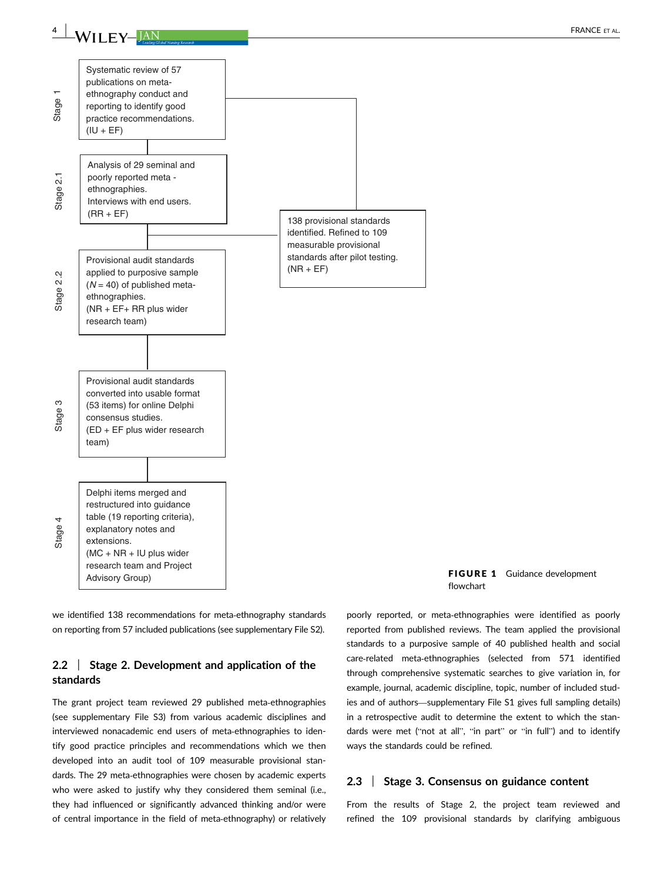

FIGURE 1 Guidance development flowchart

we identified 138 recommendations for meta-ethnography standards on reporting from 57 included publications (see supplementary File S2).

# **2.2** | **Stage 2. Development and application of the standards**

The grant project team reviewed 29 published meta‐ethnographies (see supplementary File S3) from various academic disciplines and interviewed nonacademic end users of meta‐ethnographies to identify good practice principles and recommendations which we then developed into an audit tool of 109 measurable provisional standards. The 29 meta‐ethnographies were chosen by academic experts who were asked to justify why they considered them seminal (i.e., they had influenced or significantly advanced thinking and/or were of central importance in the field of meta‐ethnography) or relatively

poorly reported, or meta‐ethnographies were identified as poorly reported from published reviews. The team applied the provisional standards to a purposive sample of 40 published health and social care‐related meta‐ethnographies (selected from 571 identified through comprehensive systematic searches to give variation in, for example, journal, academic discipline, topic, number of included studies and of authors—supplementary File S1 gives full sampling details) in a retrospective audit to determine the extent to which the standards were met ("not at all", "in part" or "in full") and to identify ways the standards could be refined.

# **2.3** | **Stage 3. Consensus on guidance content**

From the results of Stage 2, the project team reviewed and refined the 109 provisional standards by clarifying ambiguous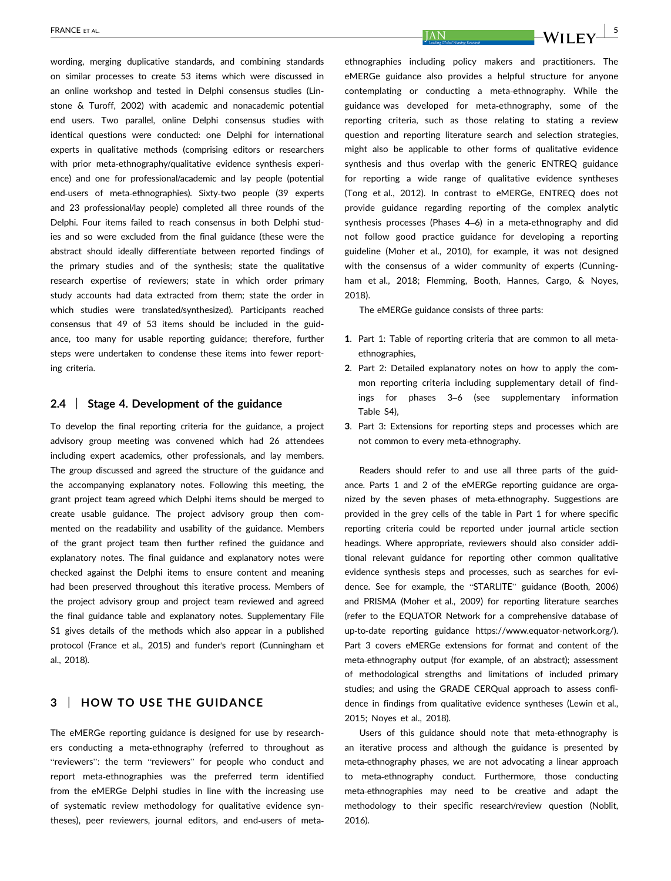wording, merging duplicative standards, and combining standards on similar processes to create 53 items which were discussed in an online workshop and tested in Delphi consensus studies (Linstone & Turoff, 2002) with academic and nonacademic potential end users. Two parallel, online Delphi consensus studies with identical questions were conducted: one Delphi for international experts in qualitative methods (comprising editors or researchers with prior meta‐ethnography/qualitative evidence synthesis experience) and one for professional/academic and lay people (potential end-users of meta-ethnographies). Sixty-two people (39 experts and 23 professional/lay people) completed all three rounds of the Delphi. Four items failed to reach consensus in both Delphi studies and so were excluded from the final guidance (these were the abstract should ideally differentiate between reported findings of the primary studies and of the synthesis; state the qualitative research expertise of reviewers; state in which order primary study accounts had data extracted from them; state the order in which studies were translated/synthesized). Participants reached consensus that 49 of 53 items should be included in the guidance, too many for usable reporting guidance; therefore, further steps were undertaken to condense these items into fewer reporting criteria.

### **2.4** | **Stage 4. Development of the guidance**

To develop the final reporting criteria for the guidance, a project advisory group meeting was convened which had 26 attendees including expert academics, other professionals, and lay members. The group discussed and agreed the structure of the guidance and the accompanying explanatory notes. Following this meeting, the grant project team agreed which Delphi items should be merged to create usable guidance. The project advisory group then commented on the readability and usability of the guidance. Members of the grant project team then further refined the guidance and explanatory notes. The final guidance and explanatory notes were checked against the Delphi items to ensure content and meaning had been preserved throughout this iterative process. Members of the project advisory group and project team reviewed and agreed the final guidance table and explanatory notes. Supplementary File S1 gives details of the methods which also appear in a published protocol (France et al., 2015) and funder's report (Cunningham et al., 2018).

# **3** | **HOW TO USE THE GUIDANCE**

The eMERGe reporting guidance is designed for use by researchers conducting a meta‐ethnography (referred to throughout as "reviewers": the term "reviewers" for people who conduct and report meta‐ethnographies was the preferred term identified from the eMERGe Delphi studies in line with the increasing use of systematic review methodology for qualitative evidence syntheses), peer reviewers, journal editors, and end-users of metaethnographies including policy makers and practitioners. The eMERGe guidance also provides a helpful structure for anyone contemplating or conducting a meta‐ethnography. While the guidance was developed for meta‐ethnography, some of the reporting criteria, such as those relating to stating a review question and reporting literature search and selection strategies, might also be applicable to other forms of qualitative evidence synthesis and thus overlap with the generic ENTREQ guidance for reporting a wide range of qualitative evidence syntheses (Tong et al., 2012). In contrast to eMERGe, ENTREQ does not provide guidance regarding reporting of the complex analytic synthesis processes (Phases 4–6) in a meta-ethnography and did not follow good practice guidance for developing a reporting guideline (Moher et al., 2010), for example, it was not designed with the consensus of a wider community of experts (Cunningham et al., 2018; Flemming, Booth, Hannes, Cargo, & Noyes, 2018).

The eMERGe guidance consists of three parts:

- **1**. Part 1: Table of reporting criteria that are common to all meta‐ ethnographies,
- **2**. Part 2: Detailed explanatory notes on how to apply the common reporting criteria including supplementary detail of findings for phases 3–6 (see supplementary information Table S4),
- **3**. Part 3: Extensions for reporting steps and processes which are not common to every meta‐ethnography.

Readers should refer to and use all three parts of the guidance. Parts 1 and 2 of the eMERGe reporting guidance are organized by the seven phases of meta‐ethnography. Suggestions are provided in the grey cells of the table in Part 1 for where specific reporting criteria could be reported under journal article section headings. Where appropriate, reviewers should also consider additional relevant guidance for reporting other common qualitative evidence synthesis steps and processes, such as searches for evidence. See for example, the "STARLITE" guidance (Booth, 2006) and PRISMA (Moher et al., 2009) for reporting literature searches (refer to the EQUATOR Network for a comprehensive database of up-to-date reporting guidance [https://www.equator-network.org/\)](https://www.equator-network.org/). Part 3 covers eMERGe extensions for format and content of the meta-ethnography output (for example, of an abstract); assessment of methodological strengths and limitations of included primary studies; and using the GRADE CERQual approach to assess confidence in findings from qualitative evidence syntheses (Lewin et al., 2015; Noyes et al., 2018).

Users of this guidance should note that meta‐ethnography is an iterative process and although the guidance is presented by meta‐ethnography phases, we are not advocating a linear approach to meta‐ethnography conduct. Furthermore, those conducting meta‐ethnographies may need to be creative and adapt the methodology to their specific research/review question (Noblit, 2016).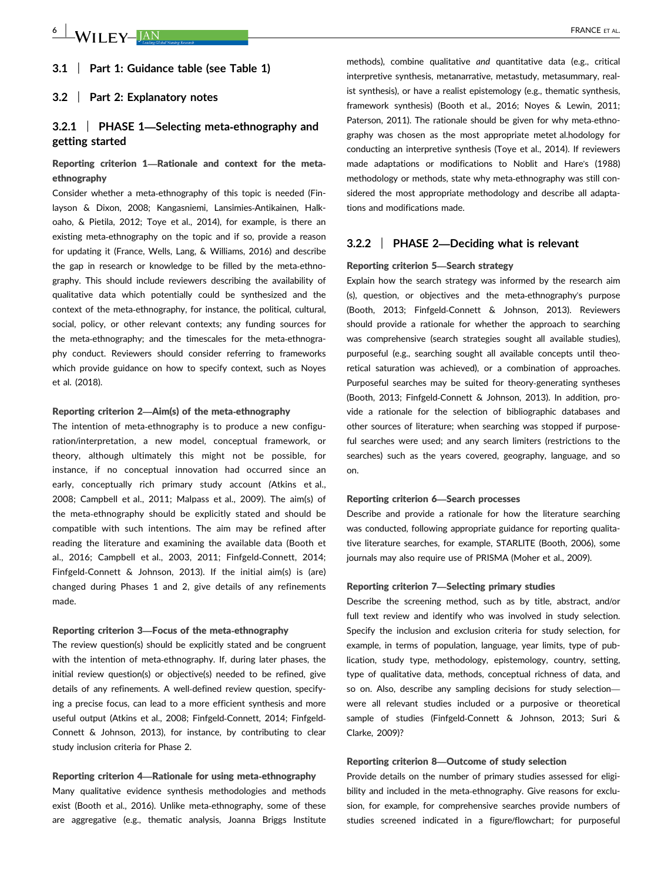**6** | **WILEY JAN EXECUTE ET AL. FRANCE ET AL.** 

**3.1** | **Part 1: Guidance table (see Table 1)**

# **3.2** | **Part 2: Explanatory notes**

# **3.2.1** | **PHASE 1—Selecting meta‐ethnography and getting started**

## Reporting criterion 1**—**Rationale and context for the meta**‐** ethnography

Consider whether a meta‐ethnography of this topic is needed (Finlayson & Dixon, 2008; Kangasniemi, Lansimies‐Antikainen, Halkoaho, & Pietila, 2012; Toye et al., 2014), for example, is there an existing meta‐ethnography on the topic and if so, provide a reason for updating it (France, Wells, Lang, & Williams, 2016) and describe the gap in research or knowledge to be filled by the meta‐ethnography. This should include reviewers describing the availability of qualitative data which potentially could be synthesized and the context of the meta‐ethnography, for instance, the political, cultural, social, policy, or other relevant contexts; any funding sources for the meta-ethnography; and the timescales for the meta-ethnography conduct. Reviewers should consider referring to frameworks which provide guidance on how to specify context, such as Noyes et al. (2018).

#### Reporting criterion 2**—**Aim(s) of the meta**‐**ethnography

The intention of meta‐ethnography is to produce a new configuration/interpretation, a new model, conceptual framework, or theory, although ultimately this might not be possible, for instance, if no conceptual innovation had occurred since an early, conceptually rich primary study account *(*Atkins et al., 2008; Campbell et al., 2011; Malpass et al., 2009). The aim(s) of the meta‐ethnography should be explicitly stated and should be compatible with such intentions. The aim may be refined after reading the literature and examining the available data (Booth et al., 2016; Campbell et al., 2003, 2011; Finfgeld‐Connett, 2014; Finfgeld‐Connett & Johnson, 2013). If the initial aim(s) is (are) changed during Phases 1 and 2, give details of any refinements made.

#### Reporting criterion 3**—**Focus of the meta**‐**ethnography

The review question(s) should be explicitly stated and be congruent with the intention of meta‐ethnography. If, during later phases, the initial review question(s) or objective(s) needed to be refined, give details of any refinements. A well-defined review question, specifying a precise focus, can lead to a more efficient synthesis and more useful output (Atkins et al., 2008; Finfgeld‐Connett, 2014; Finfgeld‐ Connett & Johnson, 2013), for instance, by contributing to clear study inclusion criteria for Phase 2.

# Reporting criterion 4**—**Rationale for using meta**‐**ethnography

Many qualitative evidence synthesis methodologies and methods exist (Booth et al., 2016). Unlike meta-ethnography, some of these are aggregative (e.g., thematic analysis, Joanna Briggs Institute methods), combine qualitative *and* quantitative data (e.g., critical interpretive synthesis, metanarrative, metastudy, metasummary, realist synthesis), or have a realist epistemology (e.g., thematic synthesis, framework synthesis) (Booth et al., 2016; Noyes & Lewin, 2011; Paterson, 2011). The rationale should be given for why meta-ethnography was chosen as the most appropriate metet al.hodology for conducting an interpretive synthesis (Toye et al., 2014). If reviewers made adaptations or modifications to Noblit and Hare's (1988) methodology or methods, state why meta-ethnography was still considered the most appropriate methodology and describe all adaptations and modifications made.

## **3.2.2** | **PHASE 2—Deciding what is relevant**

#### Reporting criterion 5**—**Search strategy

Explain how the search strategy was informed by the research aim (s), question, or objectives and the meta‐ethnography's purpose (Booth, 2013; Finfgeld‐Connett & Johnson, 2013). Reviewers should provide a rationale for whether the approach to searching was comprehensive (search strategies sought all available studies), purposeful (e.g., searching sought all available concepts until theoretical saturation was achieved), or a combination of approaches. Purposeful searches may be suited for theory‐generating syntheses (Booth, 2013; Finfgeld‐Connett & Johnson, 2013). In addition, provide a rationale for the selection of bibliographic databases and other sources of literature; when searching was stopped if purposeful searches were used; and any search limiters (restrictions to the searches) such as the years covered, geography, language, and so on.

## Reporting criterion 6**—**Search processes

Describe and provide a rationale for how the literature searching was conducted, following appropriate guidance for reporting qualitative literature searches, for example, STARLITE (Booth, 2006), some journals may also require use of PRISMA (Moher et al., 2009).

## Reporting criterion 7**—**Selecting primary studies

Describe the screening method, such as by title, abstract, and/or full text review and identify who was involved in study selection. Specify the inclusion and exclusion criteria for study selection, for example, in terms of population, language, year limits, type of publication, study type, methodology, epistemology, country, setting, type of qualitative data, methods, conceptual richness of data, and so on. Also, describe any sampling decisions for study selection were all relevant studies included or a purposive or theoretical sample of studies (Finfgeld‐Connett & Johnson, 2013; Suri & Clarke, 2009)?

#### Reporting criterion 8**—**Outcome of study selection

Provide details on the number of primary studies assessed for eligibility and included in the meta‐ethnography. Give reasons for exclusion, for example, for comprehensive searches provide numbers of studies screened indicated in a figure/flowchart; for purposeful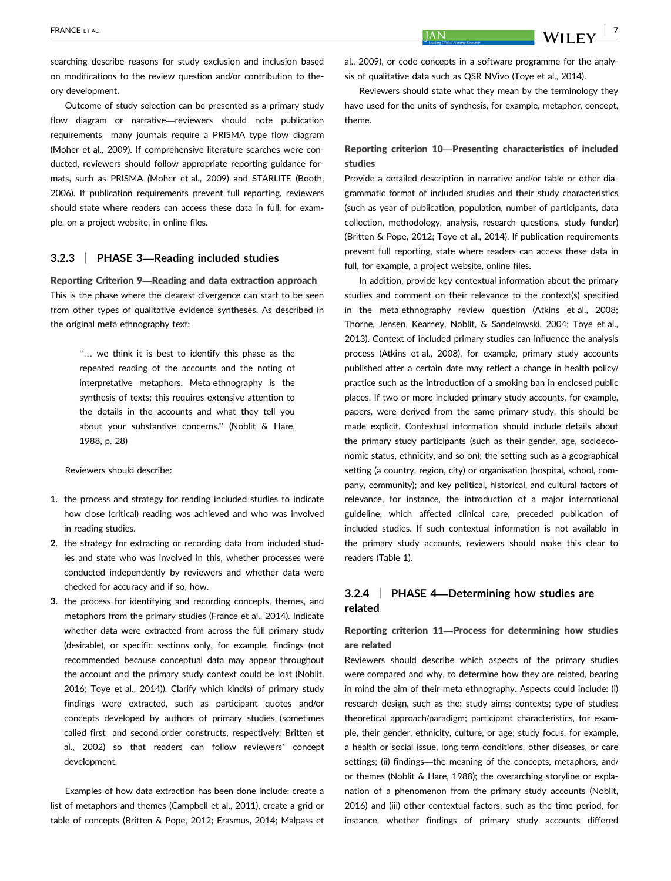searching describe reasons for study exclusion and inclusion based on modifications to the review question and/or contribution to theory development.

Outcome of study selection can be presented as a primary study flow diagram or narrative—reviewers should note publication requirements—many journals require a PRISMA type flow diagram (Moher et al., 2009). If comprehensive literature searches were conducted, reviewers should follow appropriate reporting guidance formats, such as PRISMA *(*Moher et al., 2009) and STARLITE (Booth, 2006). If publication requirements prevent full reporting, reviewers should state where readers can access these data in full, for example, on a project website, in online files.

## **3.2.3** | **PHASE 3—Reading included studies**

Reporting Criterion 9**—**Reading and data extraction approach This is the phase where the clearest divergence can start to be seen from other types of qualitative evidence syntheses. As described in the original meta‐ethnography text:

> "… we think it is best to identify this phase as the repeated reading of the accounts and the noting of interpretative metaphors. Meta-ethnography is the synthesis of texts; this requires extensive attention to the details in the accounts and what they tell you about your substantive concerns." (Noblit & Hare, 1988, p. 28)

Reviewers should describe:

- **1**. the process and strategy for reading included studies to indicate how close (critical) reading was achieved and who was involved in reading studies.
- **2**. the strategy for extracting or recording data from included studies and state who was involved in this, whether processes were conducted independently by reviewers and whether data were checked for accuracy and if so, how.
- **3**. the process for identifying and recording concepts, themes, and metaphors from the primary studies (France et al., 2014). Indicate whether data were extracted from across the full primary study (desirable), or specific sections only, for example, findings (not recommended because conceptual data may appear throughout the account and the primary study context could be lost (Noblit, 2016; Toye et al., 2014)). Clarify which kind(s) of primary study findings were extracted, such as participant quotes and/or concepts developed by authors of primary studies (sometimes called first- and second-order constructs, respectively; Britten et al., 2002) so that readers can follow reviewers' concept development.

Examples of how data extraction has been done include: create a list of metaphors and themes (Campbell et al., 2011), create a grid or table of concepts (Britten & Pope, 2012; Erasmus, 2014; Malpass et al., 2009), or code concepts in a software programme for the analysis of qualitative data such as QSR NVivo (Toye et al., 2014).

Reviewers should state what they mean by the terminology they have used for the units of synthesis, for example, metaphor, concept, theme.

## Reporting criterion 10**—**Presenting characteristics of included studies

Provide a detailed description in narrative and/or table or other diagrammatic format of included studies and their study characteristics (such as year of publication, population, number of participants, data collection, methodology, analysis, research questions, study funder) (Britten & Pope, 2012; Toye et al., 2014). If publication requirements prevent full reporting, state where readers can access these data in full, for example, a project website, online files.

In addition, provide key contextual information about the primary studies and comment on their relevance to the context(s) specified in the meta-ethnography review question (Atkins et al., 2008; Thorne, Jensen, Kearney, Noblit, & Sandelowski, 2004; Toye et al., 2013). Context of included primary studies can influence the analysis process (Atkins et al., 2008), for example, primary study accounts published after a certain date may reflect a change in health policy/ practice such as the introduction of a smoking ban in enclosed public places. If two or more included primary study accounts, for example, papers, were derived from the same primary study, this should be made explicit. Contextual information should include details about the primary study participants (such as their gender, age, socioeconomic status, ethnicity, and so on); the setting such as a geographical setting (a country, region, city) or organisation (hospital, school, company, community); and key political, historical, and cultural factors of relevance, for instance, the introduction of a major international guideline, which affected clinical care, preceded publication of included studies. If such contextual information is not available in the primary study accounts, reviewers should make this clear to readers (Table 1).

# **3.2.4** | **PHASE 4—Determining how studies are related**

## Reporting criterion 11**—**Process for determining how studies are related

Reviewers should describe which aspects of the primary studies were compared and why, to determine how they are related, bearing in mind the aim of their meta‐ethnography. Aspects could include: (i) research design, such as the: study aims; contexts; type of studies; theoretical approach/paradigm; participant characteristics, for example, their gender, ethnicity, culture, or age; study focus, for example, a health or social issue, long‐term conditions, other diseases, or care settings; (ii) findings—the meaning of the concepts, metaphors, and/ or themes (Noblit & Hare, 1988); the overarching storyline or explanation of a phenomenon from the primary study accounts (Noblit, 2016) and (iii) other contextual factors, such as the time period, for instance, whether findings of primary study accounts differed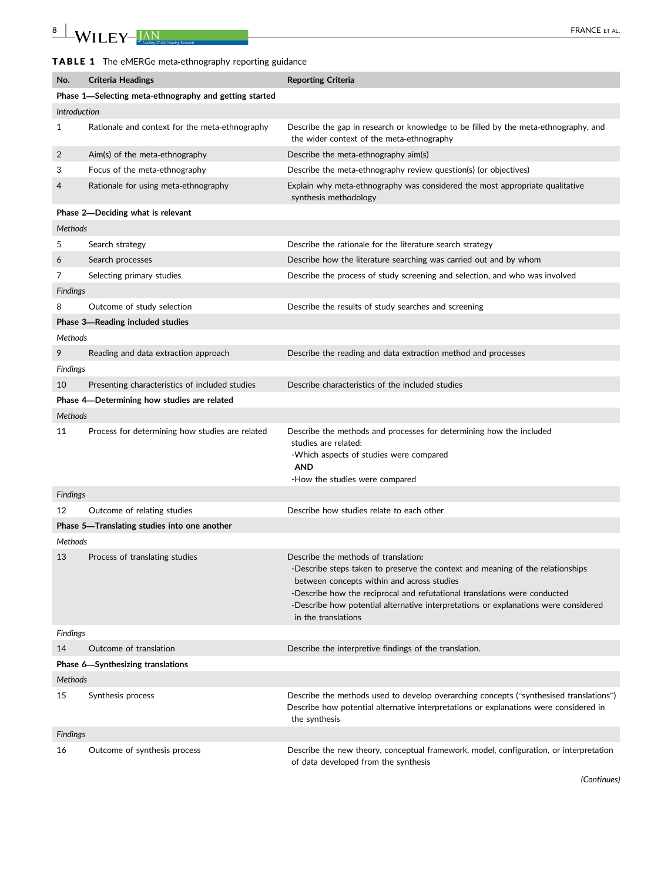# TABLE 1 The eMERGe meta-ethnography reporting guidance

| No.                 | Criteria Headings                                      | <b>Reporting Criteria</b>                                                                                                                                                                                                                                                                                                                                       |  |  |  |
|---------------------|--------------------------------------------------------|-----------------------------------------------------------------------------------------------------------------------------------------------------------------------------------------------------------------------------------------------------------------------------------------------------------------------------------------------------------------|--|--|--|
|                     | Phase 1-Selecting meta-ethnography and getting started |                                                                                                                                                                                                                                                                                                                                                                 |  |  |  |
| <b>Introduction</b> |                                                        |                                                                                                                                                                                                                                                                                                                                                                 |  |  |  |
| 1                   | Rationale and context for the meta-ethnography         | Describe the gap in research or knowledge to be filled by the meta-ethnography, and<br>the wider context of the meta-ethnography                                                                                                                                                                                                                                |  |  |  |
| $\overline{2}$      | Aim(s) of the meta-ethnography                         | Describe the meta-ethnography aim(s)                                                                                                                                                                                                                                                                                                                            |  |  |  |
| 3                   | Focus of the meta-ethnography                          | Describe the meta-ethnography review question(s) (or objectives)                                                                                                                                                                                                                                                                                                |  |  |  |
| 4                   | Rationale for using meta-ethnography                   | Explain why meta-ethnography was considered the most appropriate qualitative<br>synthesis methodology                                                                                                                                                                                                                                                           |  |  |  |
|                     | Phase 2-Deciding what is relevant                      |                                                                                                                                                                                                                                                                                                                                                                 |  |  |  |
| <b>Methods</b>      |                                                        |                                                                                                                                                                                                                                                                                                                                                                 |  |  |  |
| 5                   | Search strategy                                        | Describe the rationale for the literature search strategy                                                                                                                                                                                                                                                                                                       |  |  |  |
| 6                   | Search processes                                       | Describe how the literature searching was carried out and by whom                                                                                                                                                                                                                                                                                               |  |  |  |
| 7                   | Selecting primary studies                              | Describe the process of study screening and selection, and who was involved                                                                                                                                                                                                                                                                                     |  |  |  |
| <b>Findings</b>     |                                                        |                                                                                                                                                                                                                                                                                                                                                                 |  |  |  |
| 8                   | Outcome of study selection                             | Describe the results of study searches and screening                                                                                                                                                                                                                                                                                                            |  |  |  |
|                     | Phase 3-Reading included studies                       |                                                                                                                                                                                                                                                                                                                                                                 |  |  |  |
| Methods             |                                                        |                                                                                                                                                                                                                                                                                                                                                                 |  |  |  |
| 9                   | Reading and data extraction approach                   | Describe the reading and data extraction method and processes                                                                                                                                                                                                                                                                                                   |  |  |  |
| <b>Findings</b>     |                                                        |                                                                                                                                                                                                                                                                                                                                                                 |  |  |  |
| 10                  | Presenting characteristics of included studies         | Describe characteristics of the included studies                                                                                                                                                                                                                                                                                                                |  |  |  |
|                     | Phase 4-Determining how studies are related            |                                                                                                                                                                                                                                                                                                                                                                 |  |  |  |
| Methods             |                                                        |                                                                                                                                                                                                                                                                                                                                                                 |  |  |  |
| 11                  | Process for determining how studies are related        | Describe the methods and processes for determining how the included<br>studies are related:<br>-Which aspects of studies were compared<br><b>AND</b><br>-How the studies were compared                                                                                                                                                                          |  |  |  |
| <b>Findings</b>     |                                                        |                                                                                                                                                                                                                                                                                                                                                                 |  |  |  |
| 12                  | Outcome of relating studies                            | Describe how studies relate to each other                                                                                                                                                                                                                                                                                                                       |  |  |  |
|                     | Phase 5-Translating studies into one another           |                                                                                                                                                                                                                                                                                                                                                                 |  |  |  |
| <b>Methods</b>      |                                                        |                                                                                                                                                                                                                                                                                                                                                                 |  |  |  |
| 13                  | Process of translating studies                         | Describe the methods of translation:<br>-Describe steps taken to preserve the context and meaning of the relationships<br>between concepts within and across studies<br>-Describe how the reciprocal and refutational translations were conducted<br>-Describe how potential alternative interpretations or explanations were considered<br>in the translations |  |  |  |
| Findings            |                                                        |                                                                                                                                                                                                                                                                                                                                                                 |  |  |  |
| 14                  | Outcome of translation                                 | Describe the interpretive findings of the translation.                                                                                                                                                                                                                                                                                                          |  |  |  |
|                     | Phase 6-Synthesizing translations                      |                                                                                                                                                                                                                                                                                                                                                                 |  |  |  |
| Methods             |                                                        |                                                                                                                                                                                                                                                                                                                                                                 |  |  |  |
| 15                  | Synthesis process                                      | Describe the methods used to develop overarching concepts ("synthesised translations")<br>Describe how potential alternative interpretations or explanations were considered in<br>the synthesis                                                                                                                                                                |  |  |  |
| <b>Findings</b>     |                                                        |                                                                                                                                                                                                                                                                                                                                                                 |  |  |  |
| 16                  | Outcome of synthesis process                           | Describe the new theory, conceptual framework, model, configuration, or interpretation<br>of data developed from the synthesis                                                                                                                                                                                                                                  |  |  |  |

*(Continues)*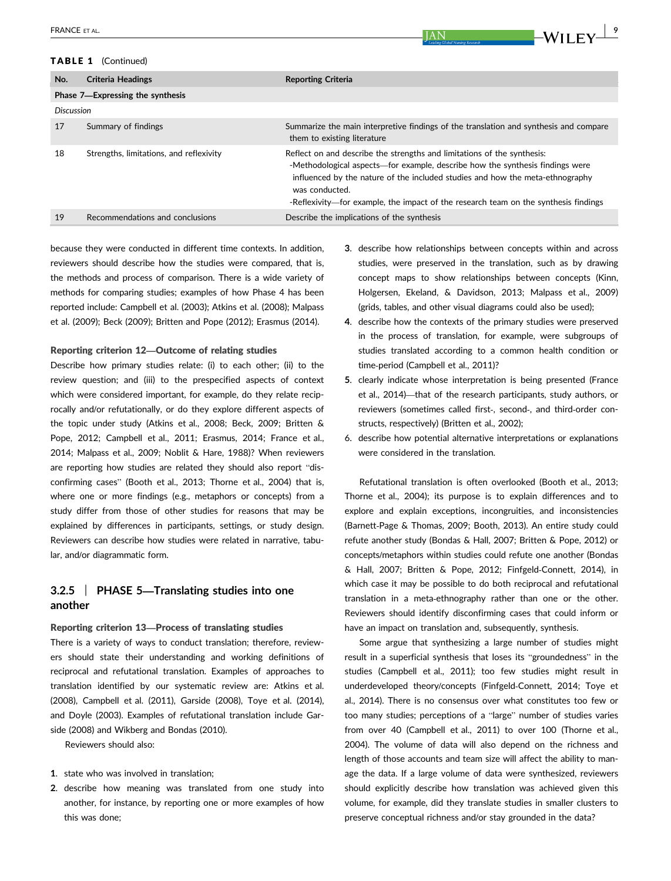#### TABLE 1 (Continued)

| No. | Criteria Headin |  |
|-----|-----------------|--|
|     |                 |  |

| No.                              | Criteria Headings                       | <b>Reporting Criteria</b>                                                                                                                                                                                                                                                                                                                          |  |  |  |  |
|----------------------------------|-----------------------------------------|----------------------------------------------------------------------------------------------------------------------------------------------------------------------------------------------------------------------------------------------------------------------------------------------------------------------------------------------------|--|--|--|--|
| Phase 7—Expressing the synthesis |                                         |                                                                                                                                                                                                                                                                                                                                                    |  |  |  |  |
| <b>Discussion</b>                |                                         |                                                                                                                                                                                                                                                                                                                                                    |  |  |  |  |
| 17                               | Summary of findings                     | Summarize the main interpretive findings of the translation and synthesis and compare<br>them to existing literature                                                                                                                                                                                                                               |  |  |  |  |
| 18                               | Strengths, limitations, and reflexivity | Reflect on and describe the strengths and limitations of the synthesis:<br>-Methodological aspects—for example, describe how the synthesis findings were<br>influenced by the nature of the included studies and how the meta-ethnography<br>was conducted.<br>-Reflexivity—for example, the impact of the research team on the synthesis findings |  |  |  |  |
| 19                               | Recommendations and conclusions         | Describe the implications of the synthesis                                                                                                                                                                                                                                                                                                         |  |  |  |  |
|                                  |                                         |                                                                                                                                                                                                                                                                                                                                                    |  |  |  |  |

because they were conducted in different time contexts. In addition, reviewers should describe how the studies were compared, that is, the methods and process of comparison. There is a wide variety of methods for comparing studies; examples of how Phase 4 has been reported include: Campbell et al. (2003); Atkins et al. (2008); Malpass et al. (2009); Beck (2009); Britten and Pope (2012); Erasmus (2014).

#### Reporting criterion 12**—**Outcome of relating studies

Describe how primary studies relate: (i) to each other; (ii) to the review question; and (iii) to the prespecified aspects of context which were considered important, for example, do they relate reciprocally and/or refutationally, or do they explore different aspects of the topic under study (Atkins et al., 2008; Beck, 2009; Britten & Pope, 2012; Campbell et al., 2011; Erasmus, 2014; France et al., 2014; Malpass et al., 2009; Noblit & Hare, 1988)? When reviewers are reporting how studies are related they should also report "disconfirming cases" (Booth et al., 2013; Thorne et al., 2004) that is, where one or more findings (e.g., metaphors or concepts) from a study differ from those of other studies for reasons that may be explained by differences in participants, settings, or study design. Reviewers can describe how studies were related in narrative, tabular, and/or diagrammatic form.

# **3.2.5** | **PHASE 5—Translating studies into one another**

#### Reporting criterion 13**—**Process of translating studies

There is a variety of ways to conduct translation; therefore, reviewers should state their understanding and working definitions of reciprocal and refutational translation. Examples of approaches to translation identified by our systematic review are: Atkins et al. (2008), Campbell et al. (2011), Garside (2008), Toye et al. (2014), and Doyle (2003). Examples of refutational translation include Garside (2008) and Wikberg and Bondas (2010).

Reviewers should also:

- **1**. state who was involved in translation;
- **2**. describe how meaning was translated from one study into another, for instance, by reporting one or more examples of how this was done;
- **3**. describe how relationships between concepts within and across studies, were preserved in the translation, such as by drawing concept maps to show relationships between concepts (Kinn, Holgersen, Ekeland, & Davidson, 2013; Malpass et al., 2009) (grids, tables, and other visual diagrams could also be used);
- **4**. describe how the contexts of the primary studies were preserved in the process of translation, for example, were subgroups of studies translated according to a common health condition or time‐period (Campbell et al., 2011)?
- **5**. clearly indicate whose interpretation is being presented (France et al., 2014)—that of the research participants, study authors, or reviewers (sometimes called first‐, second‐, and third‐order constructs, respectively) (Britten et al., 2002);
- 6. describe how potential alternative interpretations or explanations were considered in the translation.

Refutational translation is often overlooked (Booth et al., 2013; Thorne et al., 2004); its purpose is to explain differences and to explore and explain exceptions, incongruities, and inconsistencies (Barnett‐Page & Thomas, 2009; Booth, 2013). An entire study could refute another study (Bondas & Hall, 2007; Britten & Pope, 2012) or concepts/metaphors within studies could refute one another (Bondas & Hall, 2007; Britten & Pope, 2012; Finfgeld‐Connett, 2014), in which case it may be possible to do both reciprocal and refutational translation in a meta‐ethnography rather than one or the other. Reviewers should identify disconfirming cases that could inform or have an impact on translation and, subsequently, synthesis.

Some argue that synthesizing a large number of studies might result in a superficial synthesis that loses its "groundedness" in the studies (Campbell et al., 2011); too few studies might result in underdeveloped theory/concepts (Finfgeld‐Connett, 2014; Toye et al., 2014). There is no consensus over what constitutes too few or too many studies; perceptions of a "large" number of studies varies from over 40 (Campbell et al., 2011) to over 100 (Thorne et al., 2004). The volume of data will also depend on the richness and length of those accounts and team size will affect the ability to manage the data. If a large volume of data were synthesized, reviewers should explicitly describe how translation was achieved given this volume, for example, did they translate studies in smaller clusters to preserve conceptual richness and/or stay grounded in the data?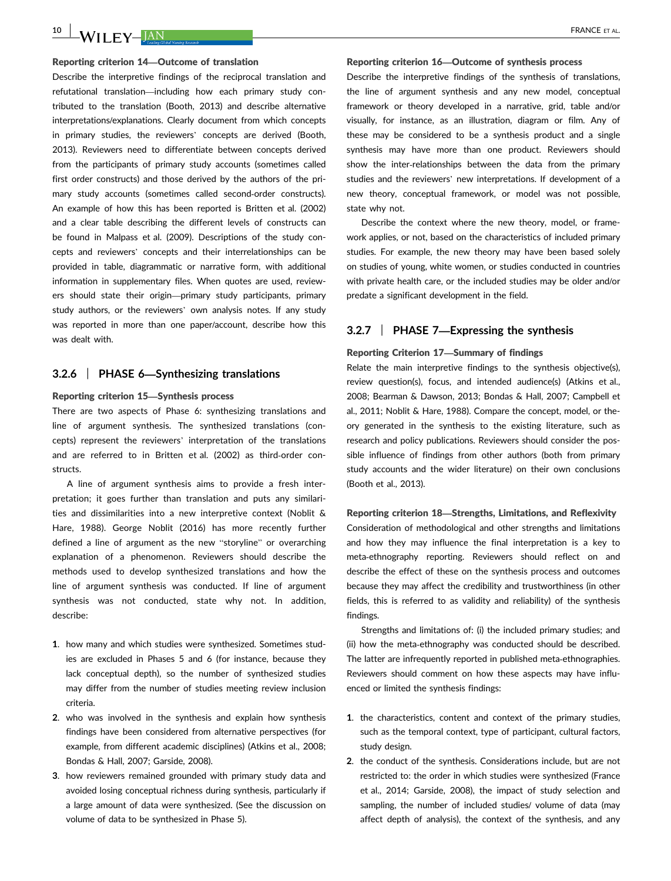Describe the interpretive findings of the reciprocal translation and refutational translation—including how each primary study contributed to the translation (Booth, 2013) and describe alternative interpretations/explanations. Clearly document from which concepts in primary studies, the reviewers' concepts are derived (Booth, 2013). Reviewers need to differentiate between concepts derived from the participants of primary study accounts (sometimes called first order constructs) and those derived by the authors of the primary study accounts (sometimes called second-order constructs). An example of how this has been reported is Britten et al. (2002) and a clear table describing the different levels of constructs can be found in Malpass et al. (2009). Descriptions of the study concepts and reviewers' concepts and their interrelationships can be provided in table, diagrammatic or narrative form, with additional information in supplementary files. When quotes are used, reviewers should state their origin—primary study participants, primary study authors, or the reviewers' own analysis notes. If any study was reported in more than one paper/account, describe how this was dealt with.

## **3.2.6** | **PHASE 6—Synthesizing translations**

#### Reporting criterion 15**—**Synthesis process

There are two aspects of Phase 6: synthesizing translations and line of argument synthesis. The synthesized translations (concepts) represent the reviewers' interpretation of the translations and are referred to in Britten et al. (2002) as third‐order constructs.

A line of argument synthesis aims to provide a fresh interpretation; it goes further than translation and puts any similarities and dissimilarities into a new interpretive context (Noblit & Hare, 1988). George Noblit (2016) has more recently further defined a line of argument as the new "storyline" or overarching explanation of a phenomenon. Reviewers should describe the methods used to develop synthesized translations and how the line of argument synthesis was conducted. If line of argument synthesis was not conducted, state why not. In addition, describe:

- **1**. how many and which studies were synthesized. Sometimes studies are excluded in Phases 5 and 6 (for instance, because they lack conceptual depth), so the number of synthesized studies may differ from the number of studies meeting review inclusion criteria.
- **2**. who was involved in the synthesis and explain how synthesis findings have been considered from alternative perspectives (for example, from different academic disciplines) (Atkins et al., 2008; Bondas & Hall, 2007; Garside, 2008).
- **3**. how reviewers remained grounded with primary study data and avoided losing conceptual richness during synthesis, particularly if a large amount of data were synthesized. (See the discussion on volume of data to be synthesized in Phase 5).

#### Reporting criterion 16**—**Outcome of synthesis process

Describe the interpretive findings of the synthesis of translations, the line of argument synthesis and any new model, conceptual framework or theory developed in a narrative, grid, table and/or visually, for instance, as an illustration, diagram or film. Any of these may be considered to be a synthesis product and a single synthesis may have more than one product. Reviewers should show the inter-relationships between the data from the primary studies and the reviewers' new interpretations. If development of a new theory, conceptual framework, or model was not possible, state why not.

Describe the context where the new theory, model, or framework applies, or not, based on the characteristics of included primary studies. For example, the new theory may have been based solely on studies of young, white women, or studies conducted in countries with private health care, or the included studies may be older and/or predate a significant development in the field.

#### **3.2.7** | **PHASE 7—Expressing the synthesis**

#### Reporting Criterion 17**—**Summary of findings

Relate the main interpretive findings to the synthesis objective(s), review question(s), focus, and intended audience(s) (Atkins et al., 2008; Bearman & Dawson, 2013; Bondas & Hall, 2007; Campbell et al., 2011; Noblit & Hare, 1988). Compare the concept, model, or theory generated in the synthesis to the existing literature, such as research and policy publications. Reviewers should consider the possible influence of findings from other authors (both from primary study accounts and the wider literature) on their own conclusions (Booth et al., 2013).

Reporting criterion 18**—**Strengths, Limitations, and Reflexivity Consideration of methodological and other strengths and limitations and how they may influence the final interpretation is a key to meta‐ethnography reporting. Reviewers should reflect on and describe the effect of these on the synthesis process and outcomes because they may affect the credibility and trustworthiness (in other fields, this is referred to as validity and reliability) of the synthesis findings.

Strengths and limitations of: (i) the included primary studies; and (ii) how the meta‐ethnography was conducted should be described. The latter are infrequently reported in published meta‐ethnographies. Reviewers should comment on how these aspects may have influenced or limited the synthesis findings:

- **1**. the characteristics, content and context of the primary studies, such as the temporal context, type of participant, cultural factors, study design.
- **2**. the conduct of the synthesis. Considerations include, but are not restricted to: the order in which studies were synthesized (France et al., 2014; Garside, 2008), the impact of study selection and sampling, the number of included studies/ volume of data (may affect depth of analysis), the context of the synthesis, and any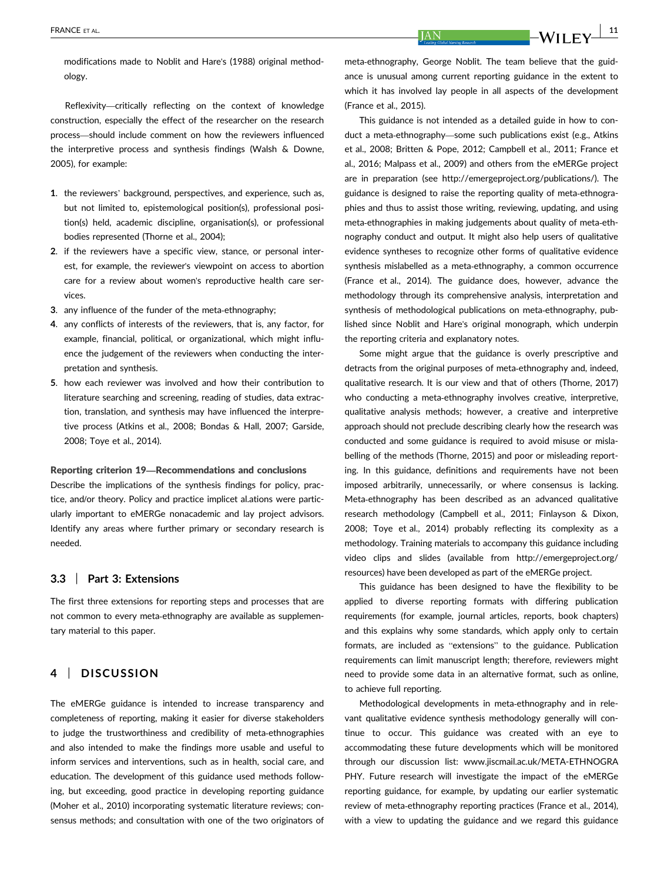modifications made to Noblit and Hare's (1988) original methodology.

Reflexivity—critically reflecting on the context of knowledge construction, especially the effect of the researcher on the research process—should include comment on how the reviewers influenced the interpretive process and synthesis findings (Walsh & Downe, 2005), for example:

- **1**. the reviewers' background, perspectives, and experience, such as, but not limited to, epistemological position(s), professional position(s) held, academic discipline, organisation(s), or professional bodies represented (Thorne et al., 2004);
- **2**. if the reviewers have a specific view, stance, or personal interest, for example, the reviewer's viewpoint on access to abortion care for a review about women's reproductive health care services.
- **3**. any influence of the funder of the meta‐ethnography;
- **4**. any conflicts of interests of the reviewers, that is, any factor, for example, financial, political, or organizational, which might influence the judgement of the reviewers when conducting the interpretation and synthesis.
- **5**. how each reviewer was involved and how their contribution to literature searching and screening, reading of studies, data extraction, translation, and synthesis may have influenced the interpretive process (Atkins et al., 2008; Bondas & Hall, 2007; Garside, 2008; Toye et al., 2014).

#### Reporting criterion 19**—**Recommendations and conclusions

Describe the implications of the synthesis findings for policy, practice, and/or theory. Policy and practice implicet al.ations were particularly important to eMERGe nonacademic and lay project advisors. Identify any areas where further primary or secondary research is needed.

## **3.3** | **Part 3: Extensions**

The first three extensions for reporting steps and processes that are not common to every meta‐ethnography are available as supplementary material to this paper.

# **4** | **DISCUSSION**

The eMERGe guidance is intended to increase transparency and completeness of reporting, making it easier for diverse stakeholders to judge the trustworthiness and credibility of meta‐ethnographies and also intended to make the findings more usable and useful to inform services and interventions, such as in health, social care, and education. The development of this guidance used methods following, but exceeding, good practice in developing reporting guidance (Moher et al., 2010) incorporating systematic literature reviews; consensus methods; and consultation with one of the two originators of meta‐ethnography, George Noblit. The team believe that the guidance is unusual among current reporting guidance in the extent to which it has involved lay people in all aspects of the development (France et al., 2015).

This guidance is not intended as a detailed guide in how to conduct a meta‐ethnography—some such publications exist (e.g., Atkins et al., 2008; Britten & Pope, 2012; Campbell et al., 2011; France et al., 2016; Malpass et al., 2009) and others from the eMERGe project are in preparation (see [http://emergeproject.org/publications/\)](http://emergeproject.org/publications/). The guidance is designed to raise the reporting quality of meta‐ethnographies and thus to assist those writing, reviewing, updating, and using meta‐ethnographies in making judgements about quality of meta‐ethnography conduct and output. It might also help users of qualitative evidence syntheses to recognize other forms of qualitative evidence synthesis mislabelled as a meta‐ethnography, a common occurrence (France et al., 2014). The guidance does, however, advance the methodology through its comprehensive analysis, interpretation and synthesis of methodological publications on meta‐ethnography, published since Noblit and Hare's original monograph, which underpin the reporting criteria and explanatory notes.

Some might argue that the guidance is overly prescriptive and detracts from the original purposes of meta-ethnography and, indeed, qualitative research. It is our view and that of others (Thorne, 2017) who conducting a meta-ethnography involves creative, interpretive, qualitative analysis methods; however, a creative and interpretive approach should not preclude describing clearly how the research was conducted and some guidance is required to avoid misuse or mislabelling of the methods (Thorne, 2015) and poor or misleading reporting. In this guidance, definitions and requirements have not been imposed arbitrarily, unnecessarily, or where consensus is lacking. Meta‐ethnography has been described as an advanced qualitative research methodology (Campbell et al., 2011; Finlayson & Dixon, 2008; Toye et al., 2014) probably reflecting its complexity as a methodology. Training materials to accompany this guidance including video clips and slides (available from [http://emergeproject.org/](http://emergeproject.org/resources) [resources](http://emergeproject.org/resources)) have been developed as part of the eMERGe project.

This guidance has been designed to have the flexibility to be applied to diverse reporting formats with differing publication requirements (for example, journal articles, reports, book chapters) and this explains why some standards, which apply only to certain formats, are included as "extensions" to the guidance. Publication requirements can limit manuscript length; therefore, reviewers might need to provide some data in an alternative format, such as online, to achieve full reporting.

Methodological developments in meta‐ethnography and in relevant qualitative evidence synthesis methodology generally will continue to occur. This guidance was created with an eye to accommodating these future developments which will be monitored through our discussion list: [www.jiscmail.ac.uk/META-ETHNOGRA](http://www.jiscmail.ac.uk/META-ETHNOGRAPHY) [PHY.](http://www.jiscmail.ac.uk/META-ETHNOGRAPHY) Future research will investigate the impact of the eMERGe reporting guidance, for example, by updating our earlier systematic review of meta-ethnography reporting practices (France et al., 2014), with a view to updating the guidance and we regard this guidance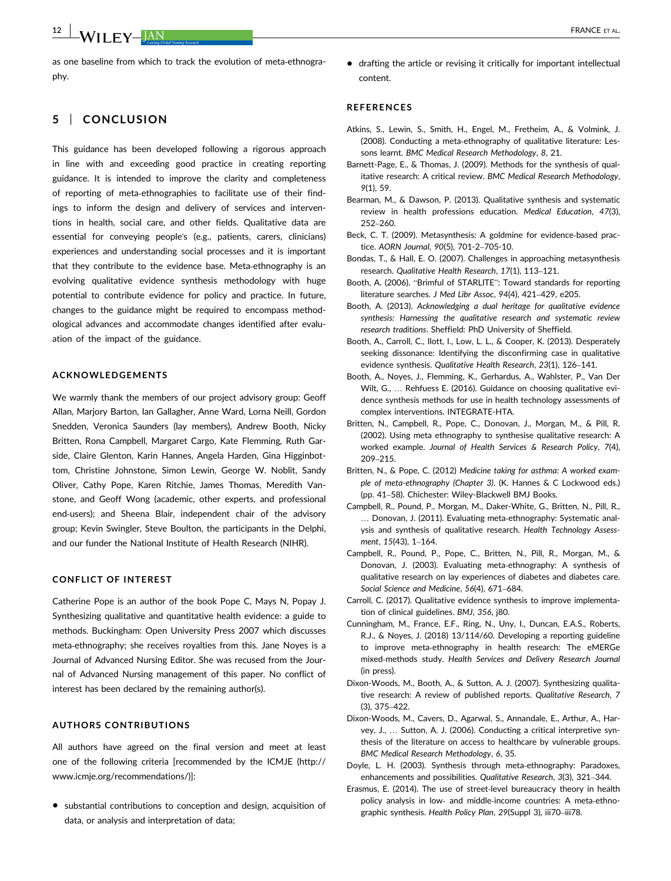as one baseline from which to track the evolution of meta‐ethnography.

## **5** | **CONCLUSION**

This guidance has been developed following a rigorous approach in line with and exceeding good practice in creating reporting guidance. It is intended to improve the clarity and completeness of reporting of meta‐ethnographies to facilitate use of their findings to inform the design and delivery of services and interventions in health, social care, and other fields. Qualitative data are essential for conveying people's (e.g., patients, carers, clinicians) experiences and understanding social processes and it is important that they contribute to the evidence base. Meta‐ethnography is an evolving qualitative evidence synthesis methodology with huge potential to contribute evidence for policy and practice. In future, changes to the guidance might be required to encompass methodological advances and accommodate changes identified after evaluation of the impact of the guidance.

#### **ACKNOWLEDGEMENTS**

We warmly thank the members of our project advisory group: Geoff Allan, Marjory Barton, Ian Gallagher, Anne Ward, Lorna Neill, Gordon Snedden, Veronica Saunders (lay members), Andrew Booth, Nicky Britten, Rona Campbell, Margaret Cargo, Kate Flemming, Ruth Garside, Claire Glenton, Karin Hannes, Angela Harden, Gina Higginbottom, Christine Johnstone, Simon Lewin, George W. Noblit, Sandy Oliver, Cathy Pope, Karen Ritchie, James Thomas, Meredith Vanstone, and Geoff Wong (academic, other experts, and professional end-users); and Sheena Blair, independent chair of the advisory group; Kevin Swingler, Steve Boulton, the participants in the Delphi, and our funder the National Institute of Health Research (NIHR).

## **CONFLICT OF INTEREST**

Catherine Pope is an author of the book Pope C, Mays N, Popay J. Synthesizing qualitative and quantitative health evidence: a guide to methods. Buckingham: Open University Press 2007 which discusses meta‐ethnography; she receives royalties from this. Jane Noyes is a Journal of Advanced Nursing Editor. She was recused from the Journal of Advanced Nursing management of this paper. No conflict of interest has been declared by the remaining author(s).

#### **AUTHORS CONTRIBUTIONS**

All authors have agreed on the final version and meet at least one of the following criteria [recommended by the ICMJE ([http://](http://www.icmje.org/recommendations/) [www.icmje.org/recommendations/](http://www.icmje.org/recommendations/))]:

• substantial contributions to conception and design, acquisition of data, or analysis and interpretation of data;

• drafting the article or revising it critically for important intellectual content.

## **REFERENCES**

- Atkins, S., Lewin, S., Smith, H., Engel, M., Fretheim, A., & Volmink, J. (2008). Conducting a meta‐ethnography of qualitative literature: Lessons learnt. *BMC Medical Research Methodology*, *8*, 21.
- Barnett-Page, E., & Thomas, J. (2009). Methods for the synthesis of qualitative research: A critical review. *BMC Medical Research Methodology*, *9*(1), 59.
- Bearman, M., & Dawson, P. (2013). Qualitative synthesis and systematic review in health professions education. *Medical Education*, *47*(3), 252–260.
- Beck, C. T. (2009). Metasynthesis: A goldmine for evidence‐based practice. *AORN Journal*, *90*(5), 701-2–705-10.
- Bondas, T., & Hall, E. O. (2007). Challenges in approaching metasynthesis research. *Qualitative Health Research*, *17*(1), 113–121.
- Booth, A. (2006). "Brimful of STARLITE": Toward standards for reporting literature searches. *J Med Libr Assoc*, *94*(4), 421–429, e205.
- Booth, A. (2013). *Acknowledging a dual heritage for qualitative evidence synthesis: Harnessing the qualitative research and systematic review research traditions*. Sheffield: PhD University of Sheffield.
- Booth, A., Carroll, C., Ilott, I., Low, L. L., & Cooper, K. (2013). Desperately seeking dissonance: Identifying the disconfirming case in qualitative evidence synthesis. *Qualitative Health Research*, *23*(1), 126–141.
- Booth, A., Noyes, J., Flemming, K., Gerhardus, A., Wahlster, P., Van Der Wilt, G., ... Rehfuess E. (2016). Guidance on choosing qualitative evidence synthesis methods for use in health technology assessments of complex interventions. INTEGRATE-HTA.
- Britten, N., Campbell, R., Pope, C., Donovan, J., Morgan, M., & Pill, R. (2002). Using meta ethnography to synthesise qualitative research: A worked example. *Journal of Health Services & Research Policy*, *7*(4), 209–215.
- Britten, N., & Pope, C. (2012) *Medicine taking for asthma: A worked example of meta-ethnography (Chapter 3)*. (K. Hannes & C Lockwood eds.) (pp. 41–58). Chichester: Wiley-Blackwell BMJ Books.
- Campbell, R., Pound, P., Morgan, M., Daker-White, G., Britten, N., Pill, R., … Donovan, J. (2011). Evaluating meta‐ethnography: Systematic analysis and synthesis of qualitative research. *Health Technology Assessment*, *15*(43), 1–164.
- Campbell, R., Pound, P., Pope, C., Britten, N., Pill, R., Morgan, M., & Donovan, J. (2003). Evaluating meta‐ethnography: A synthesis of qualitative research on lay experiences of diabetes and diabetes care. *Social Science and Medicine*, *56*(4), 671–684.
- Carroll, C. (2017). Qualitative evidence synthesis to improve implementation of clinical guidelines. *BMJ*, *356*, j80.
- Cunningham, M., France, E.F., Ring, N., Uny, I., Duncan, E.A.S., Roberts, R.J., & Noyes, J. (2018) 13/114/60. Developing a reporting guideline to improve meta‐ethnography in health research: The eMERGe mixed‐methods study. *Health Services and Delivery Research Journal* (in press).
- Dixon-Woods, M., Booth, A., & Sutton, A. J. (2007). Synthesizing qualitative research: A review of published reports. *Qualitative Research*, *7* (3), 375–422.
- Dixon-Woods, M., Cavers, D., Agarwal, S., Annandale, E., Arthur, A., Harvey, J., … Sutton, A. J. (2006). Conducting a critical interpretive synthesis of the literature on access to healthcare by vulnerable groups. *BMC Medical Research Methodology*, *6*, 35.
- Doyle, L. H. (2003). Synthesis through meta‐ethnography: Paradoxes, enhancements and possibilities. *Qualitative Research*, *3*(3), 321–344.
- Erasmus, E. (2014). The use of street‐level bureaucracy theory in health policy analysis in low‐ and middle‐income countries: A meta‐ethnographic synthesis. *Health Policy Plan*, *29*(Suppl 3), iii70–iii78.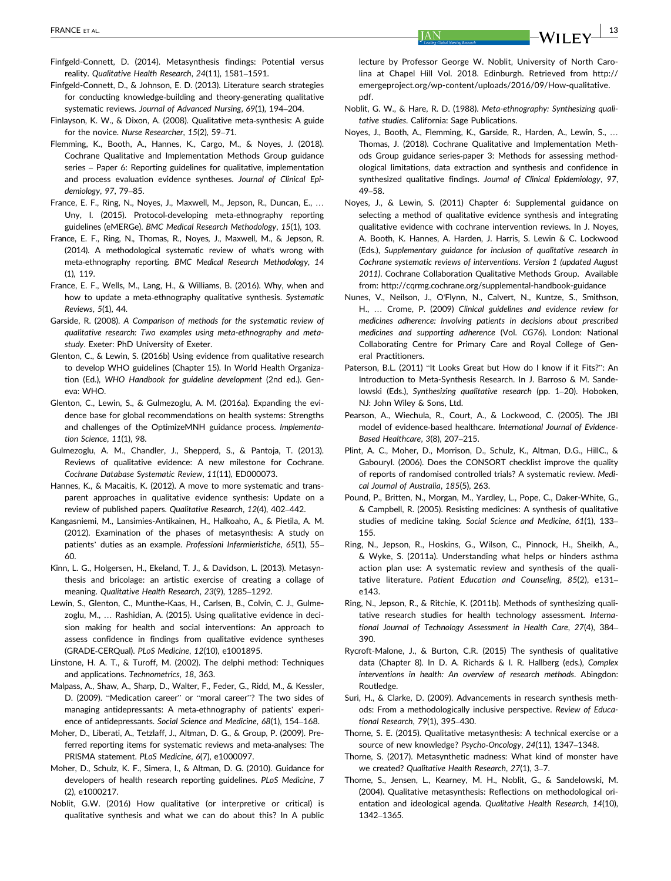Finfgeld-Connett, D. (2014). Metasynthesis findings: Potential versus reality. *Qualitative Health Research*, *24*(11), 1581–1591.

- Finfgeld-Connett, D., & Johnson, E. D. (2013). Literature search strategies for conducting knowledge‐building and theory‐generating qualitative systematic reviews. *Journal of Advanced Nursing*, *69*(1), 194–204.
- Finlayson, K. W., & Dixon, A. (2008). Qualitative meta‐synthesis: A guide for the novice. *Nurse Researcher*, *15*(2), 59–71.
- Flemming, K., Booth, A., Hannes, K., Cargo, M., & Noyes, J. (2018). Cochrane Qualitative and Implementation Methods Group guidance series – Paper 6: Reporting guidelines for qualitative, implementation and process evaluation evidence syntheses. *Journal of Clinical Epidemiology*, *97*, 79–85.
- France, E. F., Ring, N., Noyes, J., Maxwell, M., Jepson, R., Duncan, E., … Uny, I. (2015). Protocol‐developing meta‐ethnography reporting guidelines (eMERGe). *BMC Medical Research Methodology*, *15*(1), 103.
- France, E. F., Ring, N., Thomas, R., Noyes, J., Maxwell, M., & Jepson, R. (2014). A methodological systematic review of what's wrong with meta‐ethnography reporting. *BMC Medical Research Methodology*, *14*  $(1)$ , 119
- France, E. F., Wells, M., Lang, H., & Williams, B. (2016). Why, when and how to update a meta‐ethnography qualitative synthesis. *Systematic Reviews*, *5*(1), 44.
- Garside, R. (2008). *A Comparison of methods for the systematic review of qualitative research: Two examples using meta-ethnography and metastudy*. Exeter: PhD University of Exeter.
- Glenton, C., & Lewin, S. (2016b) Using evidence from qualitative research to develop WHO guidelines (Chapter 15). In World Health Organization (Ed.), *WHO Handbook for guideline development* (2nd ed.). Geneva: WHO.
- Glenton, C., Lewin, S., & Gulmezoglu, A. M. (2016a). Expanding the evidence base for global recommendations on health systems: Strengths and challenges of the OptimizeMNH guidance process. *Implementation Science*, *11*(1), 98.
- Gulmezoglu, A. M., Chandler, J., Shepperd, S., & Pantoja, T. (2013). Reviews of qualitative evidence: A new milestone for Cochrane. *Cochrane Database Systematic Review*, *11*(11), ED000073.
- Hannes, K., & Macaitis, K. (2012). A move to more systematic and transparent approaches in qualitative evidence synthesis: Update on a review of published papers. *Qualitative Research*, *12*(4), 402–442.
- Kangasniemi, M., Lansimies-Antikainen, H., Halkoaho, A., & Pietila, A. M. (2012). Examination of the phases of metasynthesis: A study on patients' duties as an example. *Professioni Infermieristiche*, *65*(1), 55– 60.
- Kinn, L. G., Holgersen, H., Ekeland, T. J., & Davidson, L. (2013). Metasynthesis and bricolage: an artistic exercise of creating a collage of meaning. *Qualitative Health Research*, *23*(9), 1285–1292.
- Lewin, S., Glenton, C., Munthe-Kaas, H., Carlsen, B., Colvin, C. J., Gulmezoglu, M., … Rashidian, A. (2015). Using qualitative evidence in decision making for health and social interventions: An approach to assess confidence in findings from qualitative evidence syntheses (GRADE‐CERQual). *PLoS Medicine*, *12*(10), e1001895.
- Linstone, H. A. T., & Turoff, M. (2002). The delphi method: Techniques and applications. *Technometrics*, *18*, 363.
- Malpass, A., Shaw, A., Sharp, D., Walter, F., Feder, G., Ridd, M., & Kessler, D. (2009). "Medication career" or "moral career"? The two sides of managing antidepressants: A meta‐ethnography of patients' experience of antidepressants. *Social Science and Medicine*, *68*(1), 154–168.
- Moher, D., Liberati, A., Tetzlaff, J., Altman, D. G., & Group, P. (2009). Preferred reporting items for systematic reviews and meta‐analyses: The PRISMA statement. *PLoS Medicine*, *6*(7), e1000097.
- Moher, D., Schulz, K. F., Simera, I., & Altman, D. G. (2010). Guidance for developers of health research reporting guidelines. *PLoS Medicine*, *7* (2), e1000217.
- Noblit, G.W. (2016) How qualitative (or interpretive or critical) is qualitative synthesis and what we can do about this? In A public

lecture by Professor George W. Noblit, University of North Carolina at Chapel Hill Vol. 2018. Edinburgh. Retrieved from [http://](http://emergeproject.org/wp-content/uploads/2016/09/How-qualitative.pdf) [emergeproject.org/wp-content/uploads/2016/09/How-qualitative.](http://emergeproject.org/wp-content/uploads/2016/09/How-qualitative.pdf) [pdf.](http://emergeproject.org/wp-content/uploads/2016/09/How-qualitative.pdf)

- Noblit, G. W., & Hare, R. D. (1988). *Meta-ethnography: Synthesizing qualitative studies*. California: Sage Publications.
- Noyes, J., Booth, A., Flemming, K., Garside, R., Harden, A., Lewin, S., … Thomas, J. (2018). Cochrane Qualitative and Implementation Methods Group guidance series‐paper 3: Methods for assessing methodological limitations, data extraction and synthesis and confidence in synthesized qualitative findings. *Journal of Clinical Epidemiology*, *97*, 49–58.
- Noyes, J., & Lewin, S. (2011) Chapter 6: Supplemental guidance on selecting a method of qualitative evidence synthesis and integrating qualitative evidence with cochrane intervention reviews. In J. Noyes, A. Booth, K. Hannes, A. Harden, J. Harris, S. Lewin & C. Lockwood (Eds.), *Supplementary guidance for inclusion of qualitative research in Cochrane systematic reviews of interventions. Version 1 (updated August 2011)*. Cochrane Collaboration Qualitative Methods Group. Available from: http://cqrmg.cochrane.org/supplemental-handbook-guidance
- Nunes, V., Neilson, J., O'Flynn, N., Calvert, N., Kuntze, S., Smithson, H., … Crome, P. (2009) *Clinical guidelines and evidence review for medicines adherence: Involving patients in decisions about prescribed medicines and supporting adherence* (Vol. *CG76*). London: National Collaborating Centre for Primary Care and Royal College of General Practitioners.
- Paterson, B.L. (2011) "It Looks Great but How do I know if it Fits?": An Introduction to Meta-Synthesis Research. In J. Barroso & M. Sandelowski (Eds.), *Synthesizing qualitative research* (pp. 1–20). Hoboken, NJ: John Wiley & Sons, Ltd.
- Pearson, A., Wiechula, R., Court, A., & Lockwood, C. (2005). The JBI model of evidence‐based healthcare. *International Journal of Evidence‐ Based Healthcare*, *3*(8), 207–215.
- Plint, A. C., Moher, D., Morrison, D., Schulz, K., Altman, D.G., HillC., & GabouryI. (2006). Does the CONSORT checklist improve the quality of reports of randomised controlled trials? A systematic review. *Medical Journal of Australia*, *185*(5), 263.
- Pound, P., Britten, N., Morgan, M., Yardley, L., Pope, C., Daker-White, G., & Campbell, R. (2005). Resisting medicines: A synthesis of qualitative studies of medicine taking. *Social Science and Medicine*, *61*(1), 133– 155.
- Ring, N., Jepson, R., Hoskins, G., Wilson, C., Pinnock, H., Sheikh, A., & Wyke, S. (2011a). Understanding what helps or hinders asthma action plan use: A systematic review and synthesis of the qualitative literature. *Patient Education and Counseling*, *85*(2), e131– e143.
- Ring, N., Jepson, R., & Ritchie, K. (2011b). Methods of synthesizing qualitative research studies for health technology assessment. *International Journal of Technology Assessment in Health Care*, *27*(4), 384– 390.
- Rycroft-Malone, J., & Burton, C.R. (2015) The synthesis of qualitative data (Chapter 8). In D. A. Richards & I. R. Hallberg (eds.), *Complex interventions in health: An overview of research methods*. Abingdon: Routledge.
- Suri, H., & Clarke, D. (2009). Advancements in research synthesis methods: From a methodologically inclusive perspective. *Review of Educational Research*, *79*(1), 395–430.
- Thorne, S. E. (2015). Qualitative metasynthesis: A technical exercise or a source of new knowledge? *Psycho‐Oncology*, *24*(11), 1347–1348.
- Thorne, S. (2017). Metasynthetic madness: What kind of monster have we created? *Qualitative Health Research*, *27*(1), 3–7.
- Thorne, S., Jensen, L., Kearney, M. H., Noblit, G., & Sandelowski, M. (2004). Qualitative metasynthesis: Reflections on methodological orientation and ideological agenda. *Qualitative Health Research*, *14*(10), 1342–1365.